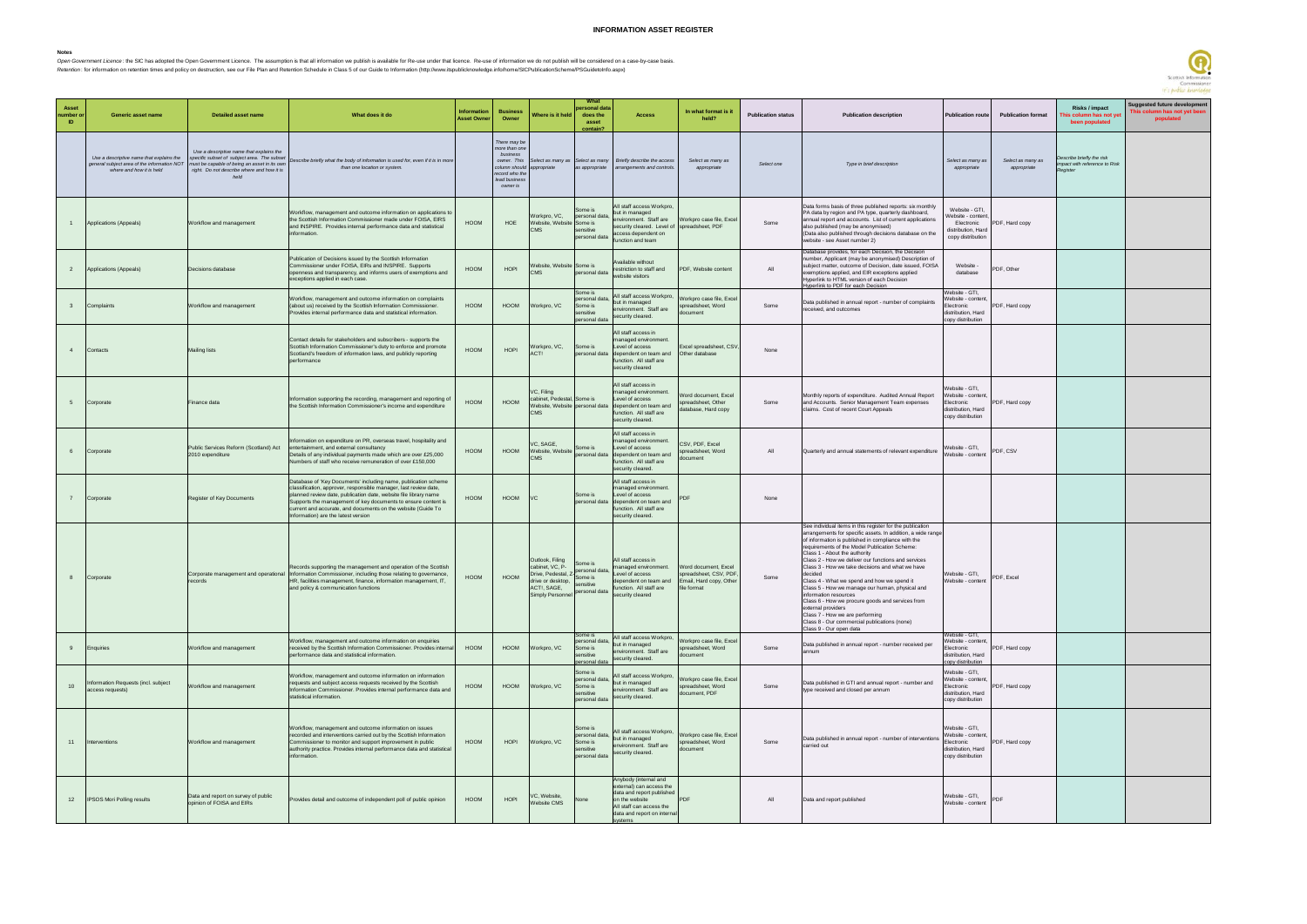## **INFORMATION ASSET REGISTER**

Notes<br>*Open Government Licence* : the SIC has adopted the Open Government Licence. The assumption is that all information we publish is available for Re-use under that licence. Re-use of information we do not publish will

| <b>Asset</b><br>number c<br><b>ID</b> | <b>Generic asset name</b>                                                                                           | <b>Detailed asset name</b>                                                                                                                                                            | What does it do                                                                                                                                                                                                                                                                                                                                                                | <b>Information</b><br><b>Asset Owne</b> | <b>Business</b><br>Owner                                                                                                 | Where is it held                                                                                                                              | personal data<br>does the<br>asset<br>ontain?                      | <b>Access</b>                                                                                                                                                          | In what format is it<br>held?                                    | <b>Publication status</b> | <b>Publication description</b>                                                                                                                                                                                                                                                                                                                                                                                                                                                                                                                                                                                                                                                                            | <b>Publication route</b>                                                                            | <b>Publication format</b>        | Risks / impact<br>iis column has not ye<br>been populated                    | Suggested future development<br>This column has not yet been<br>populated |
|---------------------------------------|---------------------------------------------------------------------------------------------------------------------|---------------------------------------------------------------------------------------------------------------------------------------------------------------------------------------|--------------------------------------------------------------------------------------------------------------------------------------------------------------------------------------------------------------------------------------------------------------------------------------------------------------------------------------------------------------------------------|-----------------------------------------|--------------------------------------------------------------------------------------------------------------------------|-----------------------------------------------------------------------------------------------------------------------------------------------|--------------------------------------------------------------------|------------------------------------------------------------------------------------------------------------------------------------------------------------------------|------------------------------------------------------------------|---------------------------|-----------------------------------------------------------------------------------------------------------------------------------------------------------------------------------------------------------------------------------------------------------------------------------------------------------------------------------------------------------------------------------------------------------------------------------------------------------------------------------------------------------------------------------------------------------------------------------------------------------------------------------------------------------------------------------------------------------|-----------------------------------------------------------------------------------------------------|----------------------------------|------------------------------------------------------------------------------|---------------------------------------------------------------------------|
|                                       | Use a descriptive name that explains the<br>general subject area of the information NOT<br>where and how it is held | Use a descriptive name that explains the<br>specific subset of subject area. The subset<br>must be capable of being an asset in its own<br>right. Do not describe where and how it is | Describe briefly what the body of information is used for, even if it is in more<br>than one location or system.                                                                                                                                                                                                                                                               |                                         | There may be<br>nore than one<br>business<br>owner. This<br>column should<br>record who the<br>lead business<br>owner is | elect as many as<br>appropriate                                                                                                               |                                                                    | Select as many Briefly describe the access<br>as appropriate arrangements and controls.                                                                                | Select as many as<br>appropriate                                 | Select one                | Type in brief description                                                                                                                                                                                                                                                                                                                                                                                                                                                                                                                                                                                                                                                                                 | Select as many as<br>appropriate                                                                    | Select as many as<br>appropriate | Describe briefly the risk<br>npact with reference to Risk<br><b>Register</b> |                                                                           |
|                                       | Applications (Appeals)                                                                                              | Workflow and management                                                                                                                                                               | Workflow, management and outcome information on applications to<br>the Scottish Information Commissioner made under FOISA, EIRS<br>and INSPIRE. Provides internal performance data and statistical<br>information.                                                                                                                                                             | HOOM                                    | HOE                                                                                                                      | Workpro, VC,<br>Website, Website Some is<br>CMS                                                                                               | Some is<br>personal data,<br>ensitive<br>personal data             | All staff access Workpro,<br>but in managed<br>environment. Staff are<br>security cleared. Level of spreadsheet, PDF<br>access dependent on<br>unction and team        | Workpro case file, Excel                                         | Some                      | Data forms basis of three published reports: six monthly<br>PA data by region and PA type, quarterly dashboard,<br>annual report and accounts. List of current applications<br>also published (may be anonymised)<br>(Data also published through decisions database on the<br>website - see Asset number 2)                                                                                                                                                                                                                                                                                                                                                                                              | Website - GTI,<br><b>Nebsite - content</b><br>Electronic<br>distribution, Hard<br>copy distribution | PDF, Hard copy                   |                                                                              |                                                                           |
| 2                                     | Applications (Appeals)                                                                                              | Decisions database                                                                                                                                                                    | Publication of Decisions issued by the Scottish Information<br>Commissioner under FOISA, EIRs and INSPIRE. Supports<br>openness and transparency, and informs users of exemptions and<br>exceptions applied in each case.                                                                                                                                                      | <b>HOOM</b>                             | HOPI                                                                                                                     | Website, Website Some is<br>CMS                                                                                                               | personal data                                                      | Available without<br>restriction to staff and<br>website visitors                                                                                                      | PDF, Website content                                             | All                       | Database provides, for each Decision, the Decision<br>number, Applicant (may be anonymised) Description of<br>subject matter, outcome of Decision, date issued, FOISA<br>exemptions applied, and EIR exceptions applied<br>Hyperlink to HTML version of each Decision<br>Ivperlink to PDF for each Decision                                                                                                                                                                                                                                                                                                                                                                                               | Website -<br>database                                                                               | PDF, Other                       |                                                                              |                                                                           |
| $\overline{3}$                        | Complaints                                                                                                          | Workflow and management                                                                                                                                                               | Workflow, management and outcome information on complaints<br>(about us) received by the Scottish Information Commissioner.<br>Provides internal performance data and statistical information.                                                                                                                                                                                 | HOOM                                    | HOOM                                                                                                                     | Workpro, VC                                                                                                                                   | Some is<br>personal data,<br>Some is<br>sensitive<br>bersonal data | All staff access Workpro,<br>but in managed<br>environment. Staff are<br>security cleared.                                                                             | Vorkpro case file, Excel<br>preadsheet, Word<br>document         | Some                      | Data published in annual report - number of complaints<br>eceived, and outcomes                                                                                                                                                                                                                                                                                                                                                                                                                                                                                                                                                                                                                           | Vebsite - GTI,<br>/ebsite - content,<br>ectronic<br>distribution, Hard<br>copy distribution         | PDF, Hard copy                   |                                                                              |                                                                           |
| $\overline{4}$                        | Contacts                                                                                                            | <b>Mailing lists</b>                                                                                                                                                                  | Contact details for stakeholders and subscribers - supports the<br>Scottish Information Commissioner's duty to enforce and promote<br>Scotland's freedom of information laws, and publicly reporting<br>performance                                                                                                                                                            | <b>HOOM</b>                             | HOPI                                                                                                                     | Workpro, VC,                                                                                                                                  | Some is                                                            | All staff access in<br>managed environment.<br>Level of access<br>personal data dependent on team and<br>function. All staff are<br>security cleared                   | Excel spreadsheet, CSV,<br>Other database                        | None                      |                                                                                                                                                                                                                                                                                                                                                                                                                                                                                                                                                                                                                                                                                                           |                                                                                                     |                                  |                                                                              |                                                                           |
| 5                                     | Corporate                                                                                                           | Finance data                                                                                                                                                                          | Information supporting the recording, management and reporting of<br>the Scottish Information Commissioner's income and expenditure                                                                                                                                                                                                                                            | <b>HOOM</b>                             | HOOM                                                                                                                     | VC, Filing<br>cabinet, Pedestal, Some is<br><b>CMS</b>                                                                                        |                                                                    | All staff access in<br>managed environment.<br>Level of access<br>Website, Website personal data dependent on team and<br>function. All staff are<br>security cleared. | Vord document, Excel<br>spreadsheet, Other<br>atabase, Hard copy | Some                      | Monthly reports of expenditure. Audited Annual Report<br>and Accounts. Senior Management Team expenses<br>claims. Cost of recent Court Appeals                                                                                                                                                                                                                                                                                                                                                                                                                                                                                                                                                            | Vebsite - GTI,<br>Vebsite - content<br>Electronic<br>distribution, Hard<br>copy distribution        | PDF, Hard copy                   |                                                                              |                                                                           |
| 6                                     | Corporate                                                                                                           | Public Services Reform (Scotland) Act<br>2010 expenditure                                                                                                                             | Information on expenditure on PR, overseas travel, hospitality and<br>entertainment, and external consultancy<br>Details of any individual payments made which are over £25,000<br>Numbers of staff who receive remuneration of over £150,000                                                                                                                                  | HOOM                                    | HOOM                                                                                                                     | /C, SAGE,<br>Website, Website Some is<br><b>CMS</b>                                                                                           | personal data                                                      | All staff access in<br>nanaged environment.<br>Level of access<br>dependent on team and<br>function. All staff are<br>security cleared.                                | CSV, PDF, Excel<br>spreadsheet, Word<br>document                 | All                       | Quarterly and annual statements of relevant expenditure                                                                                                                                                                                                                                                                                                                                                                                                                                                                                                                                                                                                                                                   | Website - GTI,<br>Vebsite - content                                                                 | PDF, CSV                         |                                                                              |                                                                           |
| 7                                     | Corporate                                                                                                           | Register of Key Documents                                                                                                                                                             | Database of 'Key Documents' including name, publication scheme<br>classification, approver, responsible manager, last review date,<br>planned review date, publication date, website file library name<br>Supports the management of key documents to ensure content is<br>current and accurate, and documents on the website (Guide To<br>Information) are the latest version | HOOM                                    | HOOM                                                                                                                     | VC                                                                                                                                            | Some is                                                            | All staff access in<br>nanaged environment.<br>Level of access<br>personal data dependent on team and<br>function. All staff are<br>security cleared.                  | PDF                                                              | None                      |                                                                                                                                                                                                                                                                                                                                                                                                                                                                                                                                                                                                                                                                                                           |                                                                                                     |                                  |                                                                              |                                                                           |
| 8                                     | Corporate                                                                                                           | records                                                                                                                                                                               | Records supporting the management and operation of the Scottish<br>Corporate management and operational Information Commissioner, including those relating to governance,<br>HR, facilities management, finance, information management, IT,<br>and policy & communication functions                                                                                           | HOOM                                    | HOOM                                                                                                                     | Outlook, Filing<br>cabinet, VC, P-<br>Drive, Pedestal,<br>drive or desktop,<br>ACT!, SAGE,<br>Simply Personnel Personal data security cleared | Some is<br>personal data<br>Some is<br>sensitive                   | All staff access in<br>managed environment.<br>Level of access<br>dependent on team and Email, Hard copy, Other<br>function. All staff are                             | Word document, Excel<br>spreadsheet, CSV, PDF,<br>file format    | Some                      | See individual items in this register for the publication<br>arrangements for specific assets. In addition, a wide range<br>of information is published in compliance with the<br>requirements of the Model Publication Scheme:<br>Class 1 - About the authority<br>Class 2 - How we deliver our functions and services<br>Class 3 - How we take decisions and what we have<br>decided<br>Class 4 - What we spend and how we spend it<br>Class 5 - How we manage our human, physical and<br>information resources<br>Class 6 - How we procure goods and services from<br>external providers<br>Class 7 - How we are performing<br>Class 8 - Our commercial publications (none)<br>Class 9 - Our open data | Website - GTI,<br>Website - content                                                                 | PDF, Excel                       |                                                                              |                                                                           |
| 9                                     | Enquiries                                                                                                           | Workflow and management                                                                                                                                                               | Workflow, management and outcome information on enquiries<br>received by the Scottish Information Commissioner. Provides internal<br>performance data and statistical information.                                                                                                                                                                                             | HOOM                                    | HOOM                                                                                                                     | Workpro, VC                                                                                                                                   | Some is<br>bersonal data,<br>Some is<br>sensitive<br>ersonal da    | All staff access Workpro,<br>but in managed<br>environment. Staff are<br>security cleared.                                                                             | Workpro case file, Excel<br>spreadsheet. Word<br>document        | Some                      | Data published in annual report - number received per<br>annum                                                                                                                                                                                                                                                                                                                                                                                                                                                                                                                                                                                                                                            | Vebsite - GTI,<br>Vebsite - content,<br>lectronic<br>distribution, Hard<br>opy distribution         | PDF, Hard copy                   |                                                                              |                                                                           |
| 10                                    | Information Requests (incl. subject<br>access requests)                                                             | Workflow and management                                                                                                                                                               | Workflow, management and outcome information on information<br>requests and subject access requests received by the Scottish<br>Information Commissioner. Provides internal performance data and<br>statistical information.                                                                                                                                                   | HOOM                                    | HOOM                                                                                                                     | Workpro, VC                                                                                                                                   | Some is<br>personal data,<br>Some is<br>sensitive<br>personal data | All staff access Workpro,<br>but in managed<br>environment. Staff are<br>security cleared.                                                                             | Workpro case file, Excel<br>spreadsheet, Word<br>document, PDF   | Some                      | Data published in GTI and annual report - number and<br>type received and closed per annum                                                                                                                                                                                                                                                                                                                                                                                                                                                                                                                                                                                                                | Website - GTI,<br>Website - content<br>Electronic<br>distribution, Hard<br>copy distribution        | PDF, Hard copy                   |                                                                              |                                                                           |
| 11                                    | Interventions                                                                                                       | Workflow and management                                                                                                                                                               | Workflow, management and outcome information on issues<br>recorded and interventions carried out by the Scottish Information<br>Commissioner to monitor and support improvement in public<br>authority practice. Provides internal performance data and statistical<br>information.                                                                                            | HOOM                                    | HOPI                                                                                                                     | Workpro, VC                                                                                                                                   | Some is<br>personal data,<br>Some is<br>sensitive<br>personal data | All staff access Workpro,<br>but in managed<br>environment. Staff are<br>security cleared.                                                                             | Workpro case file, Excel<br>spreadsheet, Word<br>document        | Some                      | Data published in annual report - number of interventions<br>carried out                                                                                                                                                                                                                                                                                                                                                                                                                                                                                                                                                                                                                                  | Website - GTI,<br>Website - content,<br>Electronic<br>distribution, Hard<br>copy distribution       | PDF, Hard copy                   |                                                                              |                                                                           |
| 12                                    | <b>IPSOS Mori Polling results</b>                                                                                   | Data and report on survey of public<br>opinion of FOISA and EIRs                                                                                                                      | Provides detail and outcome of independent poll of public opinion                                                                                                                                                                                                                                                                                                              | HOOM                                    | HOPI                                                                                                                     | VC, Website,<br>Website CMS                                                                                                                   | None                                                               | Anybody (internal and<br>external) can access the<br>data and report published<br>on the website<br>All staff can access the<br>data and report on internal            | <b>PDF</b>                                                       | All                       | Data and report published                                                                                                                                                                                                                                                                                                                                                                                                                                                                                                                                                                                                                                                                                 | Website - GTI,<br>Website - content                                                                 | PDF                              |                                                                              |                                                                           |